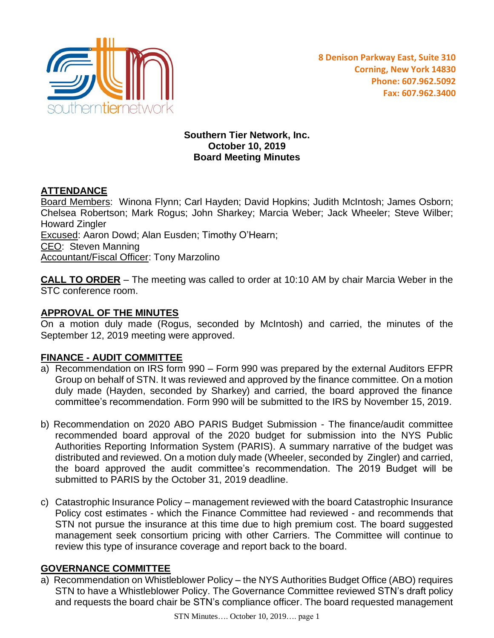

### **Southern Tier Network, Inc. October 10, 2019 Board Meeting Minutes**

# **ATTENDANCE**

Board Members: Winona Flynn; Carl Hayden; David Hopkins; Judith McIntosh; James Osborn; Chelsea Robertson; Mark Rogus; John Sharkey; Marcia Weber; Jack Wheeler; Steve Wilber; Howard Zingler Excused: Aaron Dowd; Alan Eusden; Timothy O'Hearn; CEO: Steven Manning Accountant/Fiscal Officer: Tony Marzolino

**CALL TO ORDER** – The meeting was called to order at 10:10 AM by chair Marcia Weber in the STC conference room.

# **APPROVAL OF THE MINUTES**

On a motion duly made (Rogus, seconded by McIntosh) and carried, the minutes of the September 12, 2019 meeting were approved.

# **FINANCE - AUDIT COMMITTEE**

- a) Recommendation on IRS form 990 Form 990 was prepared by the external Auditors EFPR Group on behalf of STN. It was reviewed and approved by the finance committee. On a motion duly made (Hayden, seconded by Sharkey) and carried, the board approved the finance committee's recommendation. Form 990 will be submitted to the IRS by November 15, 2019.
- b) Recommendation on 2020 ABO PARIS Budget Submission The finance/audit committee recommended board approval of the 2020 budget for submission into the NYS Public Authorities Reporting Information System (PARIS). A summary narrative of the budget was distributed and reviewed. On a motion duly made (Wheeler, seconded by Zingler) and carried, the board approved the audit committee's recommendation. The 2019 Budget will be submitted to PARIS by the October 31, 2019 deadline.
- c) Catastrophic Insurance Policy management reviewed with the board Catastrophic Insurance Policy cost estimates - which the Finance Committee had reviewed - and recommends that STN not pursue the insurance at this time due to high premium cost. The board suggested management seek consortium pricing with other Carriers. The Committee will continue to review this type of insurance coverage and report back to the board.

### **GOVERNANCE COMMITTEE**

a) Recommendation on Whistleblower Policy – the NYS Authorities Budget Office (ABO) requires STN to have a Whistleblower Policy. The Governance Committee reviewed STN's draft policy and requests the board chair be STN's compliance officer. The board requested management